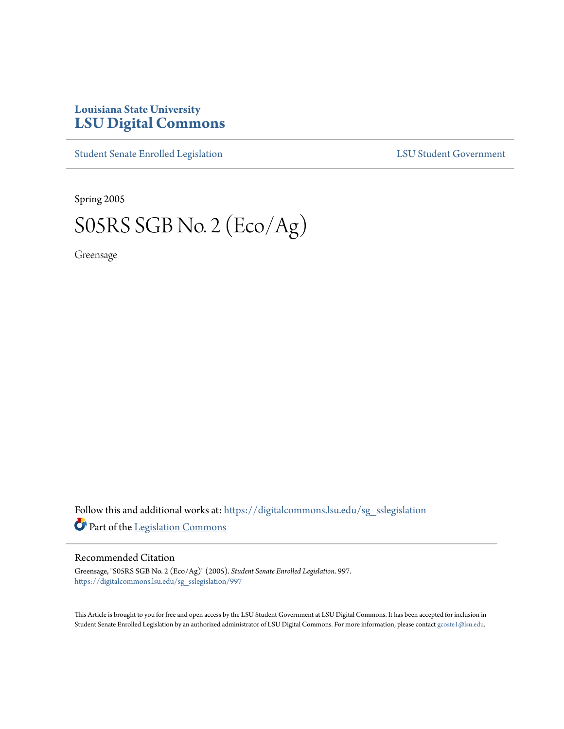## **Louisiana State University [LSU Digital Commons](https://digitalcommons.lsu.edu?utm_source=digitalcommons.lsu.edu%2Fsg_sslegislation%2F997&utm_medium=PDF&utm_campaign=PDFCoverPages)**

[Student Senate Enrolled Legislation](https://digitalcommons.lsu.edu/sg_sslegislation?utm_source=digitalcommons.lsu.edu%2Fsg_sslegislation%2F997&utm_medium=PDF&utm_campaign=PDFCoverPages) [LSU Student Government](https://digitalcommons.lsu.edu/sg?utm_source=digitalcommons.lsu.edu%2Fsg_sslegislation%2F997&utm_medium=PDF&utm_campaign=PDFCoverPages)

Spring 2005

## S05RS SGB No. 2 (Eco/Ag)

Greensage

Follow this and additional works at: [https://digitalcommons.lsu.edu/sg\\_sslegislation](https://digitalcommons.lsu.edu/sg_sslegislation?utm_source=digitalcommons.lsu.edu%2Fsg_sslegislation%2F997&utm_medium=PDF&utm_campaign=PDFCoverPages) Part of the [Legislation Commons](http://network.bepress.com/hgg/discipline/859?utm_source=digitalcommons.lsu.edu%2Fsg_sslegislation%2F997&utm_medium=PDF&utm_campaign=PDFCoverPages)

## Recommended Citation

Greensage, "S05RS SGB No. 2 (Eco/Ag)" (2005). *Student Senate Enrolled Legislation*. 997. [https://digitalcommons.lsu.edu/sg\\_sslegislation/997](https://digitalcommons.lsu.edu/sg_sslegislation/997?utm_source=digitalcommons.lsu.edu%2Fsg_sslegislation%2F997&utm_medium=PDF&utm_campaign=PDFCoverPages)

This Article is brought to you for free and open access by the LSU Student Government at LSU Digital Commons. It has been accepted for inclusion in Student Senate Enrolled Legislation by an authorized administrator of LSU Digital Commons. For more information, please contact [gcoste1@lsu.edu.](mailto:gcoste1@lsu.edu)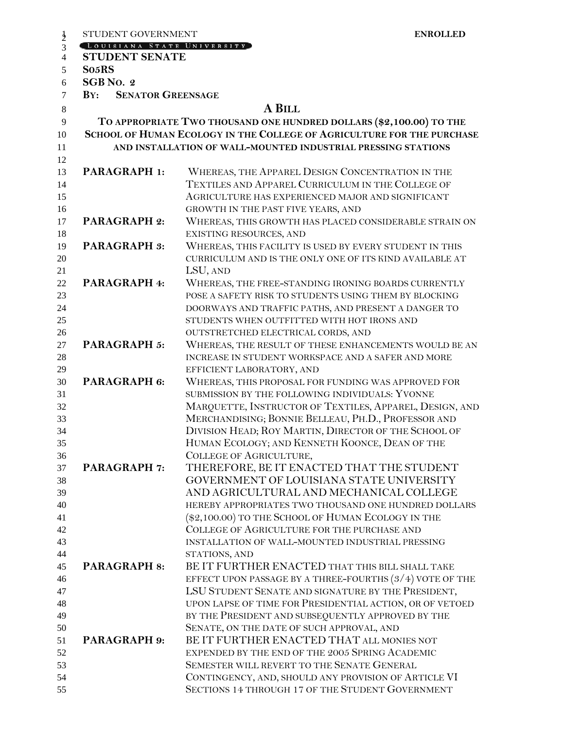| STUDENT GOVERNMENT              | <b>ENROLLED</b>                                                        |
|---------------------------------|------------------------------------------------------------------------|
| LOUISIANA STATE UNIVERSITY      |                                                                        |
| <b>STUDENT SENATE</b>           |                                                                        |
| So <sub>5</sub> RS              |                                                                        |
| SGB No. 2                       |                                                                        |
| <b>SENATOR GREENSAGE</b><br>BY: |                                                                        |
|                                 | A BILL                                                                 |
|                                 | TO APPROPRIATE TWO THOUSAND ONE HUNDRED DOLLARS (\$2,100.00) TO THE    |
|                                 | SCHOOL OF HUMAN ECOLOGY IN THE COLLEGE OF AGRICULTURE FOR THE PURCHASE |
|                                 | AND INSTALLATION OF WALL-MOUNTED INDUSTRIAL PRESSING STATIONS          |
|                                 |                                                                        |
| PARAGRAPH 1:                    | WHEREAS, THE APPAREL DESIGN CONCENTRATION IN THE                       |
|                                 | TEXTILES AND APPAREL CURRICULUM IN THE COLLEGE OF                      |
|                                 | AGRICULTURE HAS EXPERIENCED MAJOR AND SIGNIFICANT                      |
|                                 | GROWTH IN THE PAST FIVE YEARS, AND                                     |
| <b>PARAGRAPH 2:</b>             | WHEREAS, THIS GROWTH HAS PLACED CONSIDERABLE STRAIN ON                 |
|                                 | <b>EXISTING RESOURCES, AND</b>                                         |
| <b>PARAGRAPH 3:</b>             | WHEREAS, THIS FACILITY IS USED BY EVERY STUDENT IN THIS                |
|                                 | CURRICULUM AND IS THE ONLY ONE OF ITS KIND AVAILABLE AT                |
|                                 | LSU, AND                                                               |
| PARAGRAPH 4:                    | WHEREAS, THE FREE-STANDING IRONING BOARDS CURRENTLY                    |
|                                 | POSE A SAFETY RISK TO STUDENTS USING THEM BY BLOCKING                  |
|                                 | DOORWAYS AND TRAFFIC PATHS, AND PRESENT A DANGER TO                    |
|                                 | STUDENTS WHEN OUTFITTED WITH HOT IRONS AND                             |
|                                 | OUTSTRETCHED ELECTRICAL CORDS, AND                                     |
| PARAGRAPH 5:                    | WHEREAS, THE RESULT OF THESE ENHANCEMENTS WOULD BE AN                  |
|                                 | INCREASE IN STUDENT WORKSPACE AND A SAFER AND MORE                     |
|                                 | EFFICIENT LABORATORY, AND                                              |
| PARAGRAPH 6:                    | WHEREAS, THIS PROPOSAL FOR FUNDING WAS APPROVED FOR                    |
|                                 | SUBMISSION BY THE FOLLOWING INDIVIDUALS: YVONNE                        |
|                                 | MARQUETTE, INSTRUCTOR OF TEXTILES, APPAREL, DESIGN, AND                |
|                                 | MERCHANDISING; BONNIE BELLEAU, PH.D., PROFESSOR AND                    |
|                                 | DIVISION HEAD; ROY MARTIN, DIRECTOR OF THE SCHOOL OF                   |
|                                 | HUMAN ECOLOGY; AND KENNETH KOONCE, DEAN OF THE                         |
|                                 | COLLEGE OF AGRICULTURE,                                                |
| <b>PARAGRAPH 7:</b>             | THEREFORE, BE IT ENACTED THAT THE STUDENT                              |
|                                 | GOVERNMENT OF LOUISIANA STATE UNIVERSITY                               |
|                                 | AND AGRICULTURAL AND MECHANICAL COLLEGE                                |
|                                 | HEREBY APPROPRIATES TWO THOUSAND ONE HUNDRED DOLLARS                   |
|                                 | (\$2,100.00) TO THE SCHOOL OF HUMAN ECOLOGY IN THE                     |
|                                 | COLLEGE OF AGRICULTURE FOR THE PURCHASE AND                            |
|                                 | INSTALLATION OF WALL-MOUNTED INDUSTRIAL PRESSING                       |
|                                 | STATIONS, AND                                                          |
| <b>PARAGRAPH 8:</b>             | BE IT FURTHER ENACTED THAT THIS BILL SHALL TAKE                        |
|                                 | EFFECT UPON PASSAGE BY A THREE-FOURTHS $(3/4)$ VOTE OF THE             |
|                                 | LSU STUDENT SENATE AND SIGNATURE BY THE PRESIDENT,                     |
|                                 | UPON LAPSE OF TIME FOR PRESIDENTIAL ACTION, OR OF VETOED               |
|                                 | BY THE PRESIDENT AND SUBSEQUENTLY APPROVED BY THE                      |
|                                 | SENATE, ON THE DATE OF SUCH APPROVAL, AND                              |
| <b>PARAGRAPH 9:</b>             | BE IT FURTHER ENACTED THAT ALL MONIES NOT                              |
|                                 |                                                                        |
|                                 | EXPENDED BY THE END OF THE 2005 SPRING ACADEMIC                        |
|                                 | SEMESTER WILL REVERT TO THE SENATE GENERAL                             |
|                                 | CONTINGENCY, AND, SHOULD ANY PROVISION OF ARTICLE VI                   |
|                                 | SECTIONS 14 THROUGH 17 OF THE STUDENT GOVERNMENT                       |